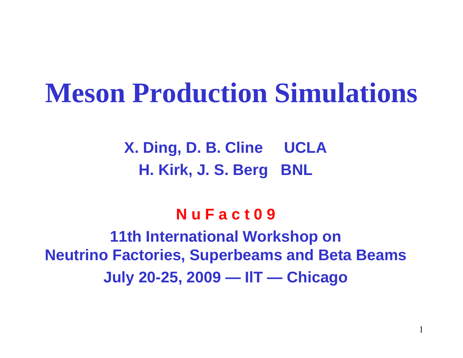## **Meson Production Simulations**

**X. Ding, D. B. Cline UCLA H. Kirk, J. S. Berg BNL**

#### **N u F a c t 0 9**

**11th International Workshop on Neutrino Factories, Superbeams and Beta Beams July 20-25, 2009 — IlT — Chicago**

1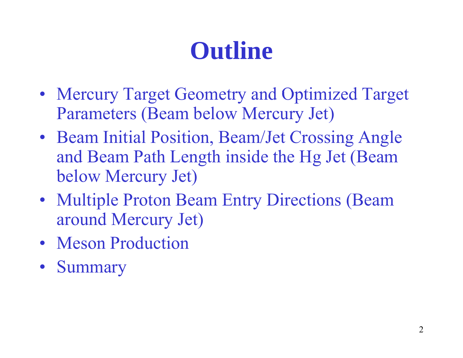# **Outline**

- Mercury Target Geometry and Optimized Target Parameters (Beam below Mercury Jet)
- Beam Initial Position, Beam/Jet Crossing Angle and Beam Path Length inside the Hg Jet (Beam below Mercury Jet)
- Multiple Proton Beam Entry Directions (Beam around Mercury Jet)
- Meson Production
- Summary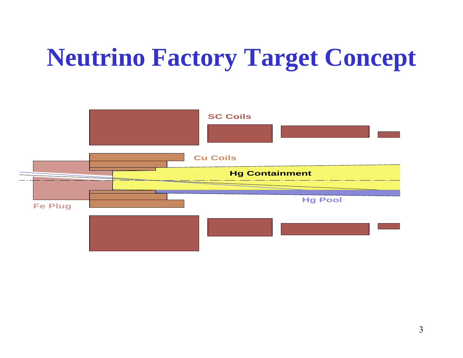# **Neutrino Factory Target Concept**

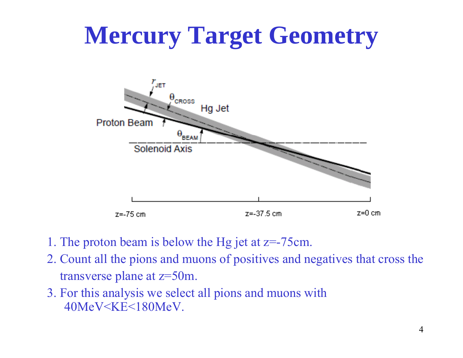# **Mercury Target Geometry**



- 1. The proton beam is below the Hg jet at z=-75cm.
- 2. Count all the pions and muons of positives and negatives that cross the transverse plane at z=50m.
- 3. For this analysis we select all pions and muons with 40MeV<KE<180MeV.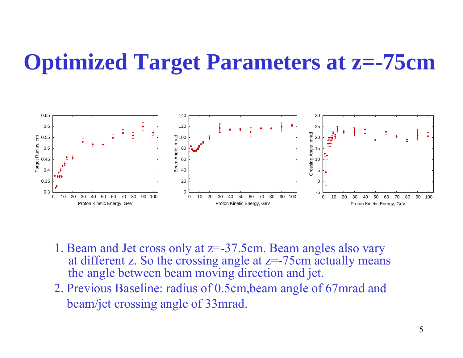#### **Optimized Target Parameters at z=-75cm**



- 1. Beam and Jet cross only at z=-37.5cm. Beam angles also vary at different z. So the crossing angle at  $z=-75$ cm actually means the an gle between beam movin g direction and jet.
- 2. Previous Baseline: radius of 0.5cm,beam angle of 67mrad and beam/jet crossing angle of 33mrad.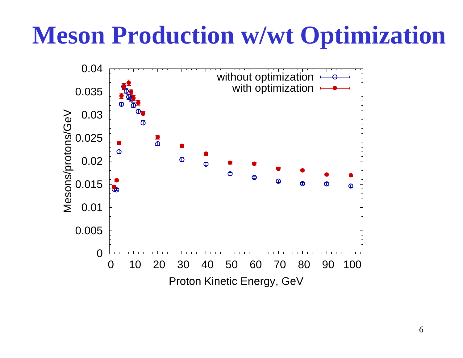# **Meson Production w/wt O ptimization**

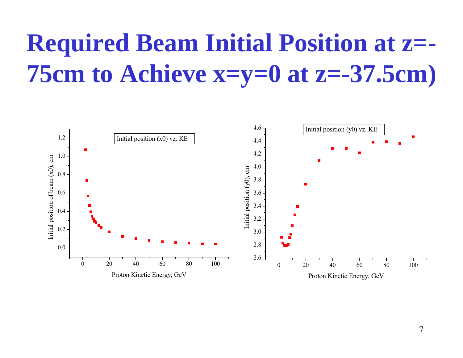#### **Required Beam Initial Position at <sup>z</sup> z=- 75cm to Achieve x=y=0 at z=-37.5cm)**

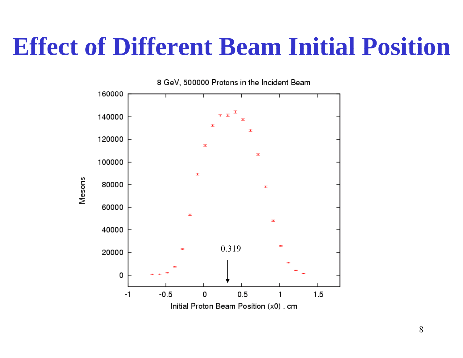### **Effect of Different Beam Initial Position**

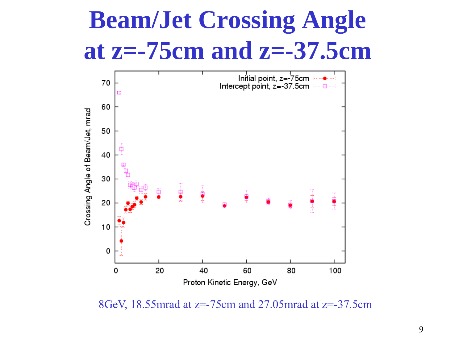# **Beam/Jet Crossing Angle at z= -75cm and z= 75cm -37 5cm .**



8GeV, 18.55mrad at z=-75cm and 27.05mrad at z=-37.5cm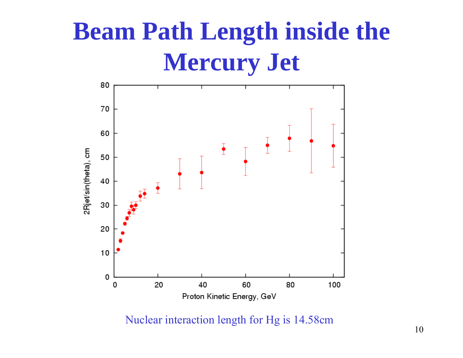# **Beam Path Length inside the Mercury Jet**



Nuclear interaction length for Hg is 14.58cm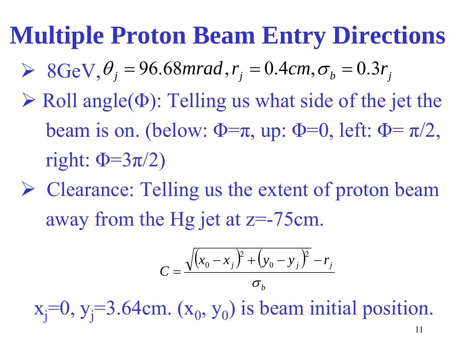$\triangleright$  8GeV,  $\theta_j = 96.68$ *mrad*,  $r_j = 0.4$ *cm*,  $\sigma_b = 0.3r_j$ 

- $\triangleright$  Roll angle( $\Phi$ ): Telling us what side of the jet the beam is on. (below:  $\Phi = \pi$ , up:  $\Phi = 0$ , left:  $\Phi = \pi/2$ , right:  $\Phi = 3\pi/2$
- ▶ Clearance: Telling us the extent of proton beam away from the Hg jet at  $z = -75$ cm.

$$
C = \frac{\sqrt{(x_0 - x_j)^2 + (y_0 - y_j)^2} - r_j}{\sigma_b}
$$

 $x_j=0, y_j=3.64cm. (x_0, y_0)$  is beam initial position.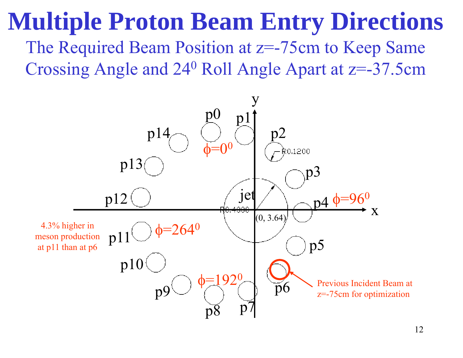The Required Beam Position at z=-75cm to Keep Same Crossing Angle and 24<sup>0</sup> Roll Angle Apart at z=-37.5cm

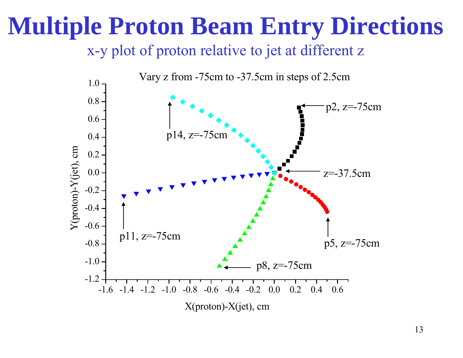x-y plot of proton relative to jet at different z

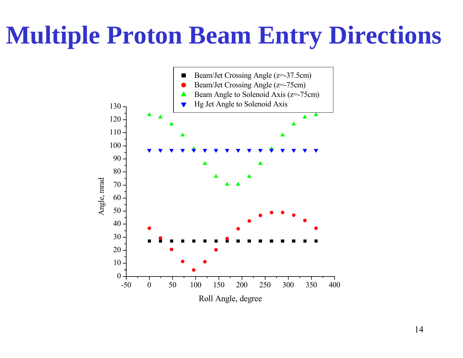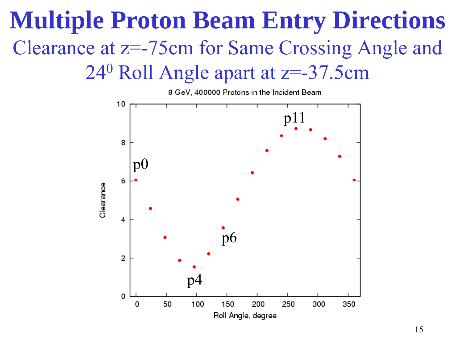#### **Multiple Proton Beam Entry Directions** Clearance at z=-75cm for Same Crossing Angle and 24 <sup>0</sup> Roll Angle apart at z=-37.5cm

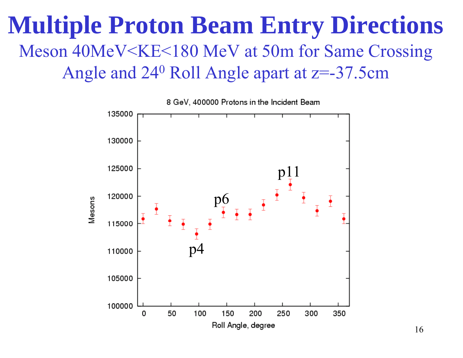#### **Multiple Proton Beam Entry Directions** Meson 40MeV<KE<180 MeV at 50m for Same Crossing Angle and 24 0 Roll Angle apart at z=-37.5cm

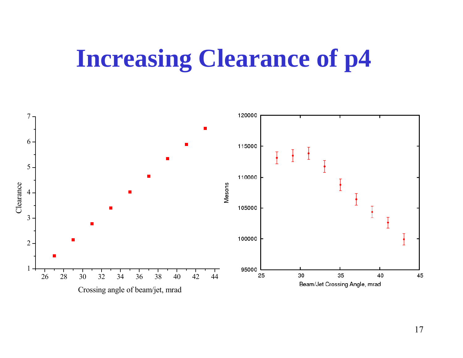## **Increasing Clearance of p4**

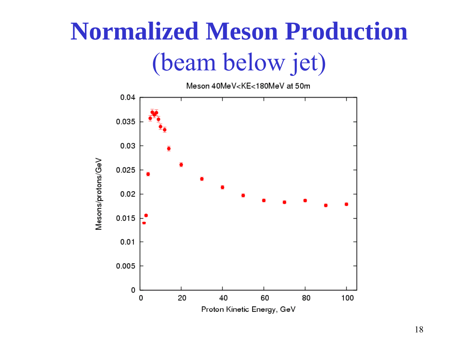# **Normalized Meson Production** (beam below jet)

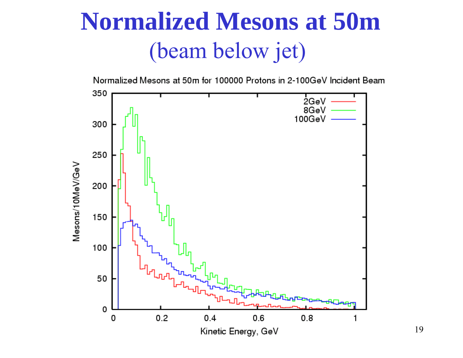## **Normalized Mesons at 50m**(beam below jet)



19